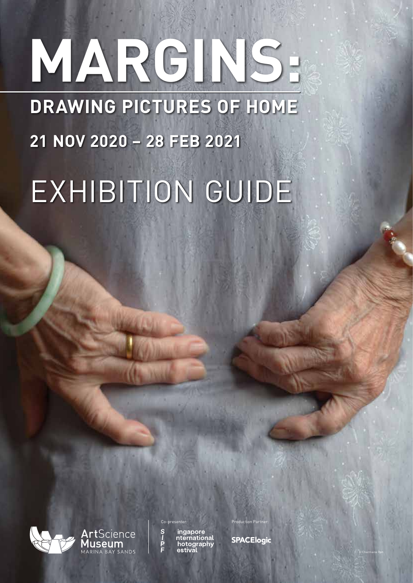# **DRAWING PICTURES OF HOME 21 NOV 2020 – 28 FEB 2021** EXHIBITION GUIDE **MARGINS:**



Science

ingapore<br>nternational hotography

**SPACElogic** 

© Charmaine Poh

Production Partne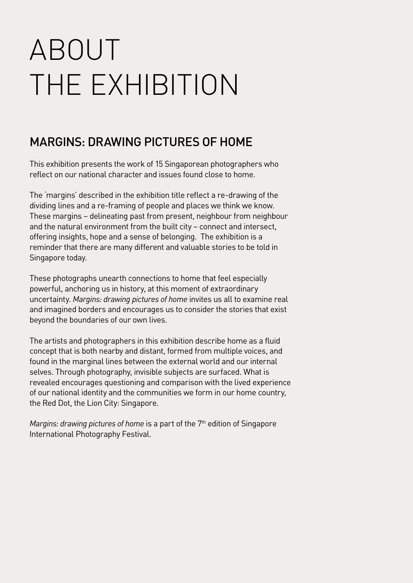## ABOUT THE EXHIBITION

## MARGINS: DRAWING PICTURES OF HOME

This exhibition presents the work of 15 Singaporean photographers who reflect on our national character and issues found close to home.

The 'margins' described in the exhibition title reflect a re-drawing of the dividing lines and a re-framing of people and places we think we know. These margins – delineating past from present, neighbour from neighbour and the natural environment from the built city – connect and intersect, offering insights, hope and a sense of belonging. The exhibition is a reminder that there are many different and valuable stories to be told in Singapore today.

These photographs unearth connections to home that feel especially powerful, anchoring us in history, at this moment of extraordinary uncertainty. *Margins: drawing pictures of home* invites us all to examine real and imagined borders and encourages us to consider the stories that exist beyond the boundaries of our own lives.

The artists and photographers in this exhibition describe home as a fluid concept that is both nearby and distant, formed from multiple voices, and found in the marginal lines between the external world and our internal selves. Through photography, invisible subjects are surfaced. What is revealed encourages questioning and comparison with the lived experience of our national identity and the communities we form in our home country, the Red Dot, the Lion City: Singapore.

*Margins: drawing pictures of home* is a part of the 7<sup>th</sup> edition of Singapore International Photography Festival.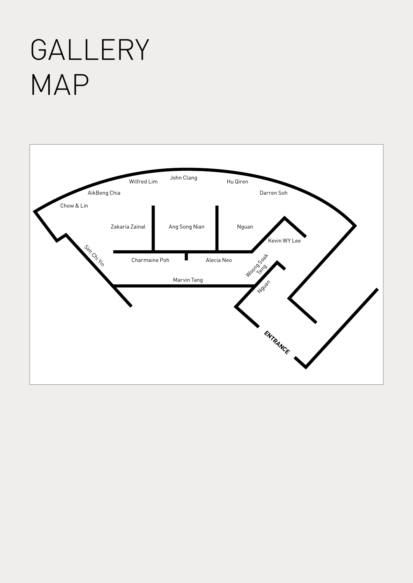## GALLERY MAP

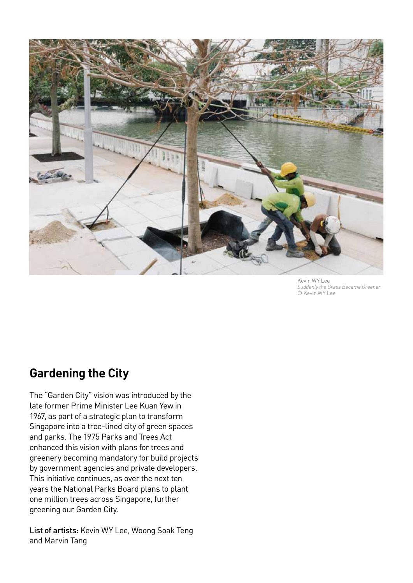

Kevin WY Lee *Suddenly the Grass Became Greener*  © Kevin WY Lee

### **Gardening the City**

The "Garden City" vision was introduced by the late former Prime Minister Lee Kuan Yew in 1967, as part of a strategic plan to transform Singapore into a tree-lined city of green spaces and parks. The 1975 Parks and Trees Act enhanced this vision with plans for trees and greenery becoming mandatory for build projects by government agencies and private developers. This initiative continues, as over the next ten years the National Parks Board plans to plant one million trees across Singapore, further greening our Garden City.

List of artists: Kevin WY Lee, Woong Soak Teng and Marvin Tang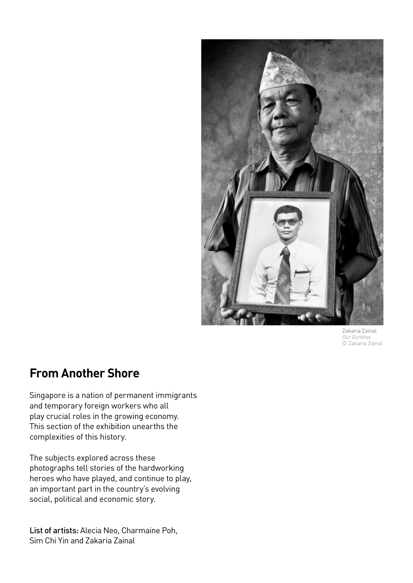

Zakaria Zainal *Our Gurkhas* © Zakaria Zainal

### **From Another Shore**

Singapore is a nation of permanent immigrants and temporary foreign workers who all play crucial roles in the growing economy. This section of the exhibition unearths the complexities of this history.

The subjects explored across these photographs tell stories of the hardworking heroes who have played, and continue to play, an important part in the country's evolving social, political and economic story.

List of artists: Alecia Neo, Charmaine Poh, Sim Chi Yin and Zakaria Zainal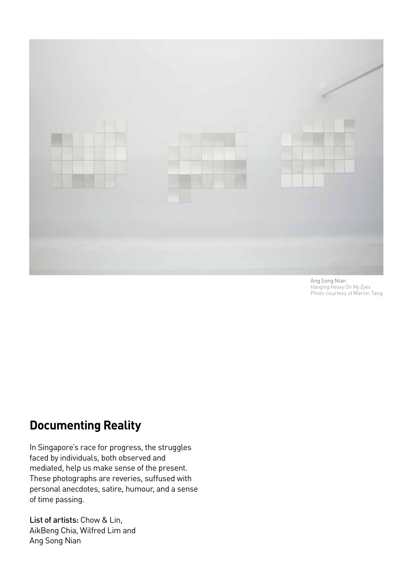

Ang Song Nian *Hanging Heavy On My Eyes* Photo courtesy of Marvin Tang

### **Documenting Reality**

In Singapore's race for progress, the struggles faced by individuals, both observed and mediated, help us make sense of the present. These photographs are reveries, suffused with personal anecdotes, satire, humour, and a sense of time passing.

List of artists: Chow & Lin, AikBeng Chia, Wilfred Lim and Ang Song Nian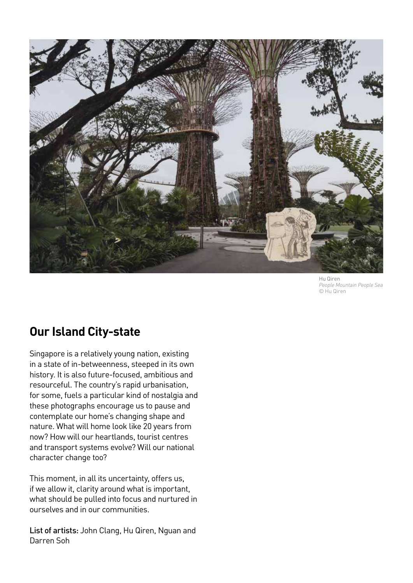

Hu Qiren *People Mountain People Sea* © Hu Qiren

### **Our Island City-state**

Singapore is a relatively young nation, existing in a state of in-betweenness, steeped in its own history. It is also future-focused, ambitious and resourceful. The country's rapid urbanisation, for some, fuels a particular kind of nostalgia and these photographs encourage us to pause and contemplate our home's changing shape and nature. What will home look like 20 years from now? How will our heartlands, tourist centres and transport systems evolve? Will our national character change too?

This moment, in all its uncertainty, offers us, if we allow it, clarity around what is important, what should be pulled into focus and nurtured in ourselves and in our communities.

List of artists: John Clang, Hu Qiren, Nguan and Darren Soh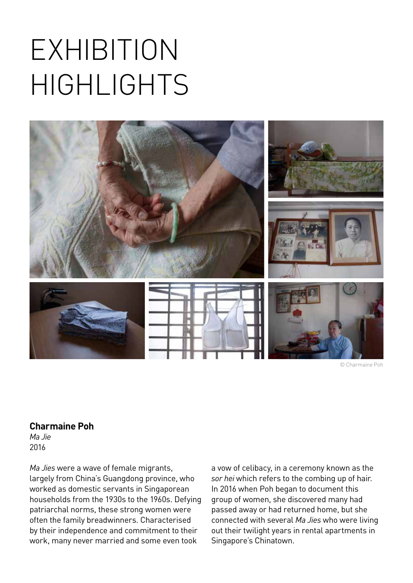

© Charmaine Poh

#### **Charmaine Poh**

*Ma Jie* 2016

*Ma Jies* were a wave of female migrants, largely from China's Guangdong province, who worked as domestic servants in Singaporean households from the 1930s to the 1960s. Defying patriarchal norms, these strong women were often the family breadwinners. Characterised by their independence and commitment to their work, many never married and some even took

a vow of celibacy, in a ceremony known as the *sor hei* which refers to the combing up of hair. In 2016 when Poh began to document this group of women, she discovered many had passed away or had returned home, but she connected with several *Ma Jies* who were living out their twilight years in rental apartments in Singapore's Chinatown.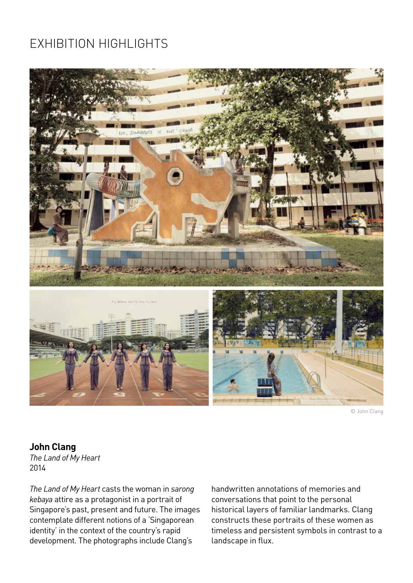

© John Clang

#### **John Clang**

*The Land of My Heart* 2014

*The Land of My Heart* casts the woman in *sarong kebaya* attire as a protagonist in a portrait of Singapore's past, present and future. The images contemplate different notions of a 'Singaporean identity' in the context of the country's rapid development. The photographs include Clang's

handwritten annotations of memories and conversations that point to the personal historical layers of familiar landmarks. Clang constructs these portraits of these women as timeless and persistent symbols in contrast to a landscape in flux.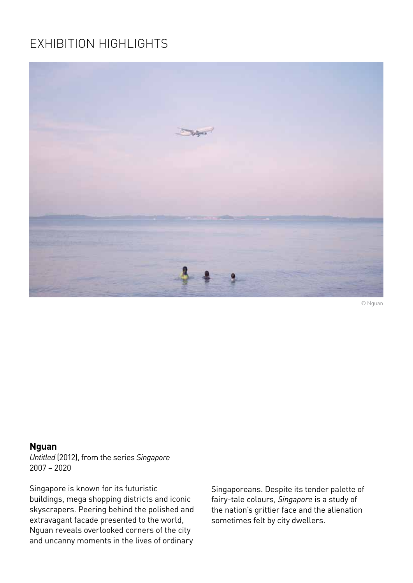

© Nguan

#### **Nguan**

*Untitled* (2012), from the series *Singapore* 2007 – 2020

Singapore is known for its futuristic buildings, mega shopping districts and iconic skyscrapers. Peering behind the polished and extravagant facade presented to the world, Nguan reveals overlooked corners of the city and uncanny moments in the lives of ordinary

Singaporeans. Despite its tender palette of fairy-tale colours, *Singapore* is a study of the nation's grittier face and the alienation sometimes felt by city dwellers.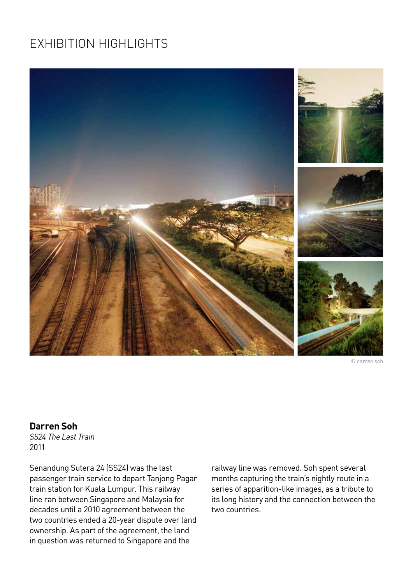

© darren soh

#### **Darren Soh**

*SS24 The Last Train* 2011

Senandung Sutera 24 (SS24) was the last passenger train service to depart Tanjong Pagar train station for Kuala Lumpur. This railway line ran between Singapore and Malaysia for decades until a 2010 agreement between the two countries ended a 20-year dispute over land ownership. As part of the agreement, the land in question was returned to Singapore and the

railway line was removed. Soh spent several months capturing the train's nightly route in a series of apparition-like images, as a tribute to its long history and the connection between the two countries.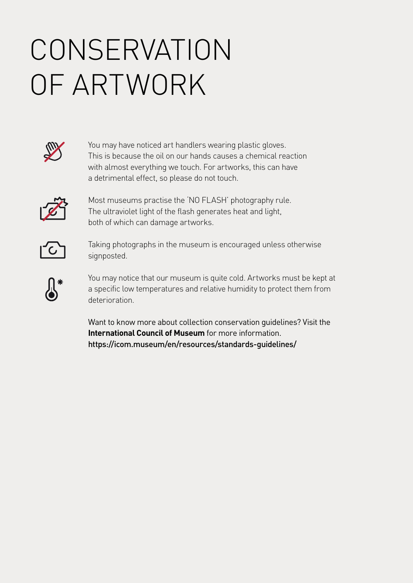## **CONSERVATION** OF ARTWORK



You may have noticed art handlers wearing plastic gloves. This is because the oil on our hands causes a chemical reaction with almost everything we touch. For artworks, this can have a detrimental effect, so please do not touch.



Most museums practise the 'NO FLASH' photography rule. The ultraviolet light of the flash generates heat and light, both of which can damage artworks.



Taking photographs in the museum is encouraged unless otherwise signposted.



You may notice that our museum is quite cold. Artworks must be kept at a specific low temperatures and relative humidity to protect them from deterioration.

Want to know more about collection conservation guidelines? Visit the **International Council of Museum** for more information. https://icom.museum/en/resources/standards-guidelines/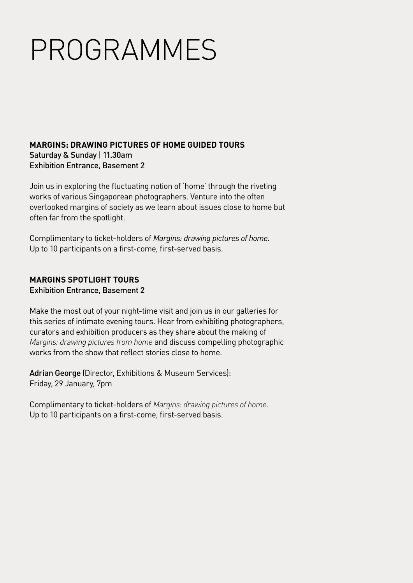## PROGRAMMES

#### **MARGINS: DRAWING PICTURES OF HOME GUIDED TOURS**  Saturday & Sunday | 11.30am Exhibition Entrance, Basement 2

Join us in exploring the fluctuating notion of 'home' through the riveting works of various Singaporean photographers. Venture into the often overlooked margins of society as we learn about issues close to home but often far from the spotlight.

Complimentary to ticket-holders of *Margins: drawing pictures of home*. Up to 10 participants on a first-come, first-served basis.

#### **MARGINS SPOTLIGHT TOURS** Exhibition Entrance, Basement 2

Make the most out of your night-time visit and join us in our galleries for this series of intimate evening tours. Hear from exhibiting photographers, curators and exhibition producers as they share about the making of *Margins: drawing pictures from home* and discuss compelling photographic works from the show that reflect stories close to home.

Adrian George (Director, Exhibitions & Museum Services): Friday, 29 January, 7pm

Complimentary to ticket-holders of *Margins: drawing pictures of home*. Up to 10 participants on a first-come, first-served basis.